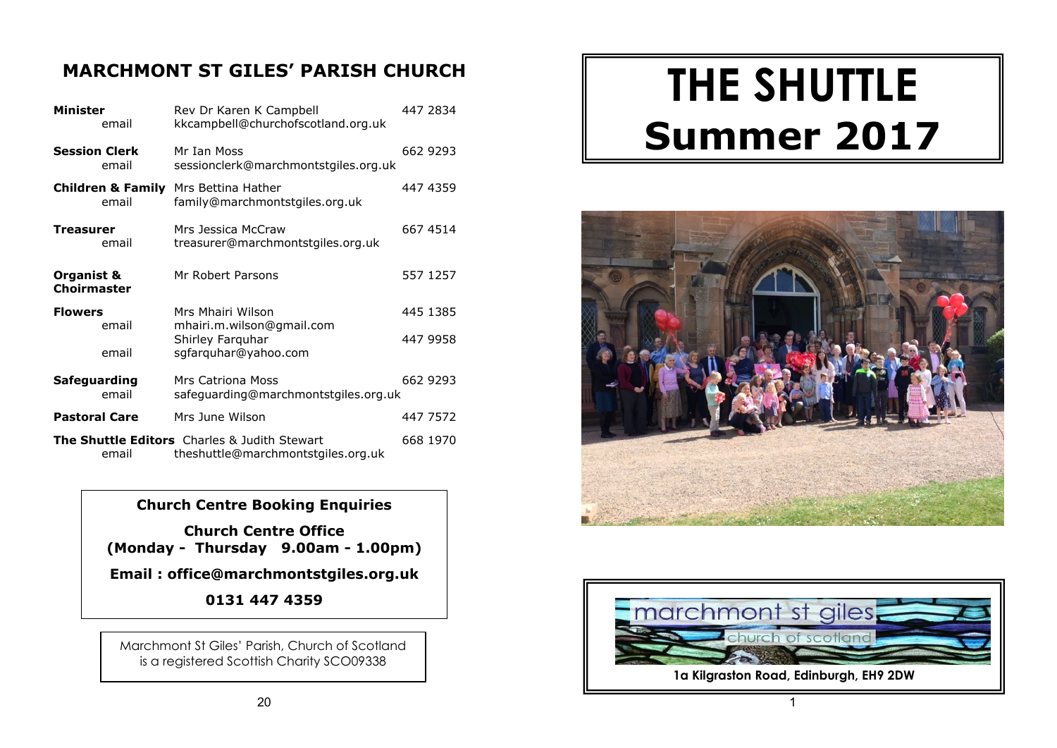### **MARCHMONT ST GILES' PARISH CHURCH**

| <b>Minister</b><br>email              | Rev Dr Karen K Campbell<br>kkcampbell@churchofscotland.org.uk                      | 447 2834 |
|---------------------------------------|------------------------------------------------------------------------------------|----------|
| <b>Session Clerk</b><br>email         | Mr Ian Moss<br>sessionclerk@marchmontstgiles.org.uk                                | 662 9293 |
| <b>Children &amp; Family</b><br>email | Mrs Bettina Hather<br>family@marchmontstgiles.org.uk                               | 447 4359 |
| Treasurer<br>email                    | Mrs Jessica McCraw<br>treasurer@marchmontstgiles.org.uk                            | 667 4514 |
| Organist &<br><b>Choirmaster</b>      | Mr Robert Parsons                                                                  | 557 1257 |
| <b>Flowers</b>                        | Mrs Mhairi Wilson                                                                  | 445 1385 |
| email                                 | mhairi.m.wilson@gmail.com<br>Shirley Farquhar                                      | 447 9958 |
| email                                 | sgfarquhar@yahoo.com                                                               |          |
| Safeguarding<br>email                 | Mrs Catriona Moss<br>safeguarding@marchmontstgiles.org.uk                          | 662 9293 |
| <b>Pastoral Care</b>                  | Mrs June Wilson                                                                    | 447 7572 |
| email                                 | The Shuttle Editors Charles & Judith Stewart<br>theshuttle@marchmontstgiles.org.uk | 668 1970 |

### **Church Centre Booking Enquiries**

**Church Centre Office (Monday - Thursday 9.00am - 1.00pm)**

**Email : office@marchmontstgiles.org.uk**

**0131 447 4359**

Marchmont St Giles' Parish, Church of Scotland is a registered Scottish Charity SCO09338

# **THE SHUTTLE Summer 2017**



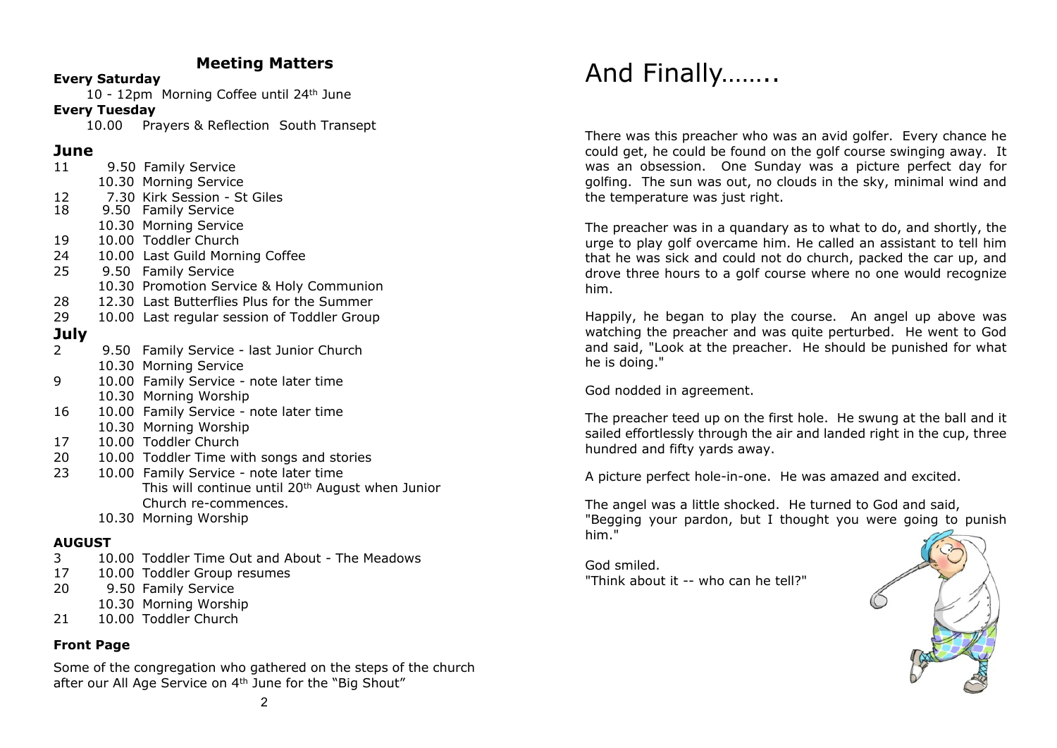### **Meeting Matters**

#### **Every Saturday**

10 - 12pm Morning Coffee until 24th June

### **Every Tuesday**

10.00 Prayers & Reflection South Transept

### **June**

| 11              | 9.50 Family Service                                          |
|-----------------|--------------------------------------------------------------|
|                 | 10.30 Morning Service                                        |
| 12 <sup>7</sup> | 7.30 Kirk Session - St Giles                                 |
| 18              | 9.50 Family Service                                          |
|                 | 10.30 Morning Service                                        |
| 19              | 10.00 Toddler Church                                         |
| 24              | 10.00 Last Guild Morning Coffee                              |
|                 | 25 9.50 Family Service                                       |
|                 | 10.30 Promotion Service & Holy Communion                     |
| 28              | 12.30 Last Butterflies Plus for the Summer                   |
| 29              | 10.00 Last regular session of Toddler Group                  |
| <b>July</b>     |                                                              |
| 2               | 9.50 Family Service - last Junior Church                     |
|                 | 10.30 Morning Service                                        |
| 9               | 10.00 Family Service - note later time                       |
|                 | 10.30 Morning Worship                                        |
| 16              | 10.00 Family Service - note later time                       |
|                 | 10.30 Morning Worship                                        |
| 17              | 10.00 Toddler Church                                         |
| 20              | 10.00 Toddler Time with songs and stories                    |
| 23              | 10.00 Family Service - note later time                       |
|                 | This will continue until 20 <sup>th</sup> August when Junior |
|                 | Church re-commences.                                         |
|                 | 10.30 Morning Worship                                        |
| <b>AUGUST</b>   |                                                              |

- 3 10.00 Toddler Time Out and About The Meadows
- 17 10.00 Toddler Group resumes
- 20 9.50 Family Service
- 10.30 Morning Worship
- 21 10.00 Toddler Church

### **Front Page**

Some of the congregation who gathered on the steps of the church after our All Age Service on 4th June for the "Big Shout"

# And Finally……..

There was this preacher who was an avid golfer. Every chance he could get, he could be found on the golf course swinging away. It was an obsession. One Sunday was a picture perfect day for golfing. The sun was out, no clouds in the sky, minimal wind and the temperature was just right.

The preacher was in a quandary as to what to do, and shortly, the urge to play golf overcame him. He called an assistant to tell him that he was sick and could not do church, packed the car up, and drove three hours to a golf course where no one would recognize him.

Happily, he began to play the course. An angel up above was watching the preacher and was quite perturbed. He went to God and said, "Look at the preacher. He should be punished for what he is doing."

God nodded in agreement.

The preacher teed up on the first hole. He swung at the ball and it sailed effortlessly through the air and landed right in the cup, three hundred and fifty yards away.

A picture perfect hole-in-one. He was amazed and excited.

The angel was a little shocked. He turned to God and said, "Begging your pardon, but I thought you were going to punish him."

God smiled. "Think about it -- who can he tell?"

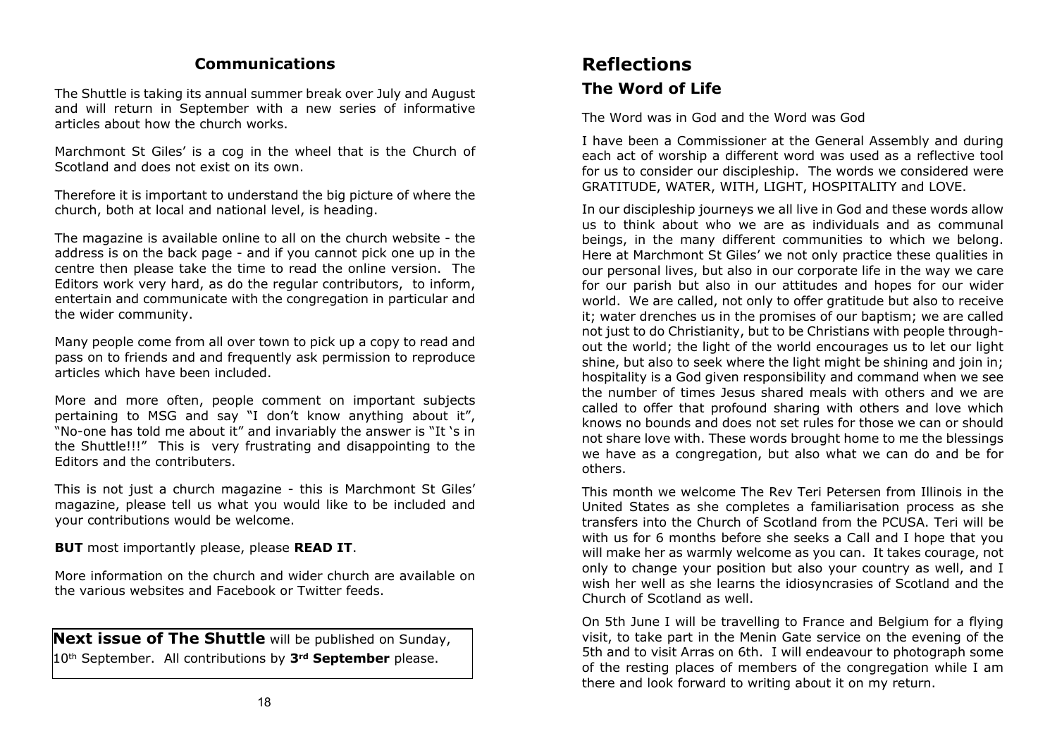### **Communications**

The Shuttle is taking its annual summer break over July and August and will return in September with a new series of informative articles about how the church works.

Marchmont St Giles' is a cog in the wheel that is the Church of Scotland and does not exist on its own.

Therefore it is important to understand the big picture of where the church, both at local and national level, is heading.

The magazine is available online to all on the church website - the address is on the back page - and if you cannot pick one up in the centre then please take the time to read the online version. The Editors work very hard, as do the regular contributors, to inform, entertain and communicate with the congregation in particular and the wider community.

Many people come from all over town to pick up a copy to read and pass on to friends and and frequently ask permission to reproduce articles which have been included.

More and more often, people comment on important subjects pertaining to MSG and say "I don't know anything about it", "No-one has told me about it" and invariably the answer is "It 's in the Shuttle!!!" This is very frustrating and disappointing to the Editors and the contributers.

This is not just a church magazine - this is Marchmont St Giles' magazine, please tell us what you would like to be included and your contributions would be welcome.

**BUT** most importantly please, please **READ IT**.

More information on the church and wider church are available on the various websites and Facebook or Twitter feeds.

**Next issue of The Shuttle** will be published on Sunday, 10th September. All contributions by **3rd September** please.

### **Reflections The Word of Life**

The Word was in God and the Word was God

I have been a Commissioner at the General Assembly and during each act of worship a different word was used as a reflective tool for us to consider our discipleship. The words we considered were GRATITUDE, WATER, WITH, LIGHT, HOSPITALITY and LOVE.

In our discipleship journeys we all live in God and these words allow us to think about who we are as individuals and as communal beings, in the many different communities to which we belong. Here at Marchmont St Giles' we not only practice these qualities in our personal lives, but also in our corporate life in the way we care for our parish but also in our attitudes and hopes for our wider world. We are called, not only to offer gratitude but also to receive it; water drenches us in the promises of our baptism; we are called not just to do Christianity, but to be Christians with people throughout the world; the light of the world encourages us to let our light shine, but also to seek where the light might be shining and join in; hospitality is a God given responsibility and command when we see the number of times Jesus shared meals with others and we are called to offer that profound sharing with others and love which knows no bounds and does not set rules for those we can or should not share love with. These words brought home to me the blessings we have as a congregation, but also what we can do and be for others.

This month we welcome The Rev Teri Petersen from Illinois in the United States as she completes a familiarisation process as she transfers into the Church of Scotland from the PCUSA. Teri will be with us for 6 months before she seeks a Call and I hope that you will make her as warmly welcome as you can. It takes courage, not only to change your position but also your country as well, and I wish her well as she learns the idiosyncrasies of Scotland and the Church of Scotland as well.

On 5th June I will be travelling to France and Belgium for a flying visit, to take part in the Menin Gate service on the evening of the 5th and to visit Arras on 6th. I will endeavour to photograph some of the resting places of members of the congregation while I am there and look forward to writing about it on my return.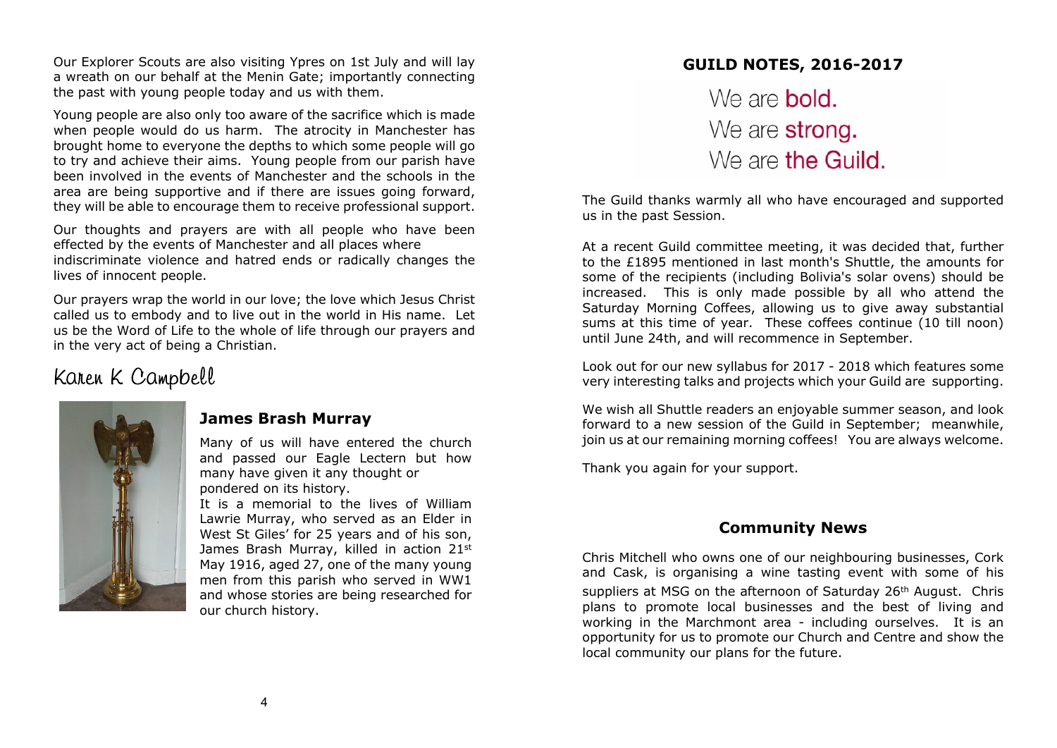Our Explorer Scouts are also visiting Ypres on 1st July and will lay a wreath on our behalf at the Menin Gate; importantly connecting the past with young people today and us with them.

Young people are also only too aware of the sacrifice which is made when people would do us harm. The atrocity in Manchester has brought home to everyone the depths to which some people will go to try and achieve their aims. Young people from our parish have been involved in the events of Manchester and the schools in the area are being supportive and if there are issues going forward, they will be able to encourage them to receive professional support.

Our thoughts and prayers are with all people who have been effected by the events of Manchester and all places where indiscriminate violence and hatred ends or radically changes the lives of innocent people.

Our prayers wrap the world in our love; the love which Jesus Christ called us to embody and to live out in the world in His name. Let us be the Word of Life to the whole of life through our prayers and in the very act of being a Christian.

### Karen K Campbell



### **James Brash Murray**

Many of us will have entered the church and passed our Eagle Lectern but how many have given it any thought or pondered on its history.

It is a memorial to the lives of William Lawrie Murray, who served as an Elder in West St Giles' for 25 years and of his son, James Brash Murray, killed in action 21st May 1916, aged 27, one of the many young men from this parish who served in WW1 and whose stories are being researched for our church history.

## **GUILD NOTES, 2016-2017** We are **bold** We are strong. We are the Guild.

The Guild thanks warmly all who have encouraged and supported us in the past Session.

At a recent Guild committee meeting, it was decided that, further to the £1895 mentioned in last month's Shuttle, the amounts for some of the recipients (including Bolivia's solar ovens) should be increased. This is only made possible by all who attend the Saturday Morning Coffees, allowing us to give away substantial sums at this time of year. These coffees continue (10 till noon) until June 24th, and will recommence in September.

Look out for our new syllabus for 2017 - 2018 which features some very interesting talks and projects which your Guild are supporting.

We wish all Shuttle readers an enjoyable summer season, and look forward to a new session of the Guild in September; meanwhile, join us at our remaining morning coffees! You are always welcome.

Thank you again for your support.

### **Community News**

Chris Mitchell who owns one of our neighbouring businesses, Cork and Cask, is organising a wine tasting event with some of his suppliers at MSG on the afternoon of Saturday 26<sup>th</sup> August. Chris plans to promote local businesses and the best of living and working in the Marchmont area - including ourselves. It is an opportunity for us to promote our Church and Centre and show the local community our plans for the future.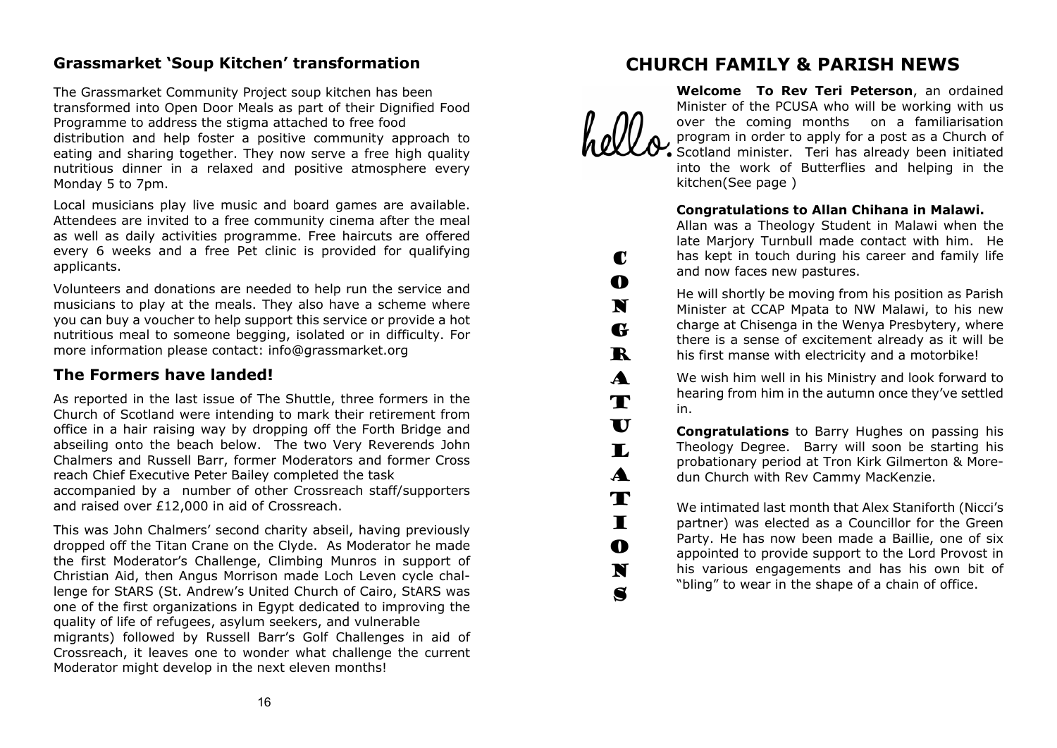### **Grassmarket 'Soup Kitchen' transformation**

The Grassmarket Community Project soup kitchen has been transformed into Open Door Meals as part of their Dignified Food Programme to address the stigma attached to free food distribution and help foster a positive community approach to eating and sharing together. They now serve a free high quality nutritious dinner in a relaxed and positive atmosphere every

Local musicians play live music and board games are available. Attendees are invited to a free community cinema after the meal as well as daily activities programme. Free haircuts are offered every 6 weeks and a free Pet clinic is provided for qualifying applicants.

Volunteers and donations are needed to help run the service and musicians to play at the meals. They also have a scheme where you can buy a voucher to help support this service or provide a hot nutritious meal to someone begging, isolated or in difficulty. For more information please contact: info@grassmarket.org

### **The Formers have landed!**

Monday 5 to 7pm.

As reported in the last issue of The Shuttle, three formers in the Church of Scotland were intending to mark their retirement from office in a hair raising way by dropping off the Forth Bridge and abseiling onto the beach below. The two Very Reverends John Chalmers and Russell Barr, former Moderators and former Cross reach Chief Executive Peter Bailey completed the task accompanied by a number of other Crossreach staff/supporters and raised over £12,000 in aid of Crossreach.

This was John Chalmers' second charity abseil, having previously dropped off the Titan Crane on the Clyde. As Moderator he made the first Moderator's Challenge, Climbing Munros in support of Christian Aid, then Angus Morrison made Loch Leven cycle challenge for StARS (St. Andrew's United Church of Cairo, StARS was one of the first organizations in Egypt dedicated to improving the quality of life of refugees, asylum seekers, and vulnerable migrants) followed by Russell Barr's Golf Challenges in aid of Crossreach, it leaves one to wonder what challenge the current Moderator might develop in the next eleven months!

### **CHURCH FAMILY & PARISH NEWS**



 $\blacksquare$ O N G R A T  $\mathbf U$ L

A T I O N S

**Welcome To Rev Teri Peterson**, an ordained Minister of the PCUSA who will be working with us over the coming months on a familiarisation program in order to apply for a post as a Church of Scotland minister. Teri has already been initiated into the work of Butterflies and helping in the kitchen(See page )

### **Congratulations to Allan Chihana in Malawi.**

Allan was a Theology Student in Malawi when the late Marjory Turnbull made contact with him. He has kept in touch during his career and family life and now faces new pastures.

He will shortly be moving from his position as Parish Minister at CCAP Mpata to NW Malawi, to his new charge at Chisenga in the Wenya Presbytery, where there is a sense of excitement already as it will be his first manse with electricity and a motorbike!

We wish him well in his Ministry and look forward to hearing from him in the autumn once they've settled in.

**Congratulations** to Barry Hughes on passing his Theology Degree. Barry will soon be starting his probationary period at Tron Kirk Gilmerton & Moredun Church with Rev Cammy MacKenzie.

We intimated last month that Alex Staniforth (Nicci's partner) was elected as a Councillor for the Green Party. He has now been made a Baillie, one of six appointed to provide support to the Lord Provost in his various engagements and has his own bit of "bling" to wear in the shape of a chain of office.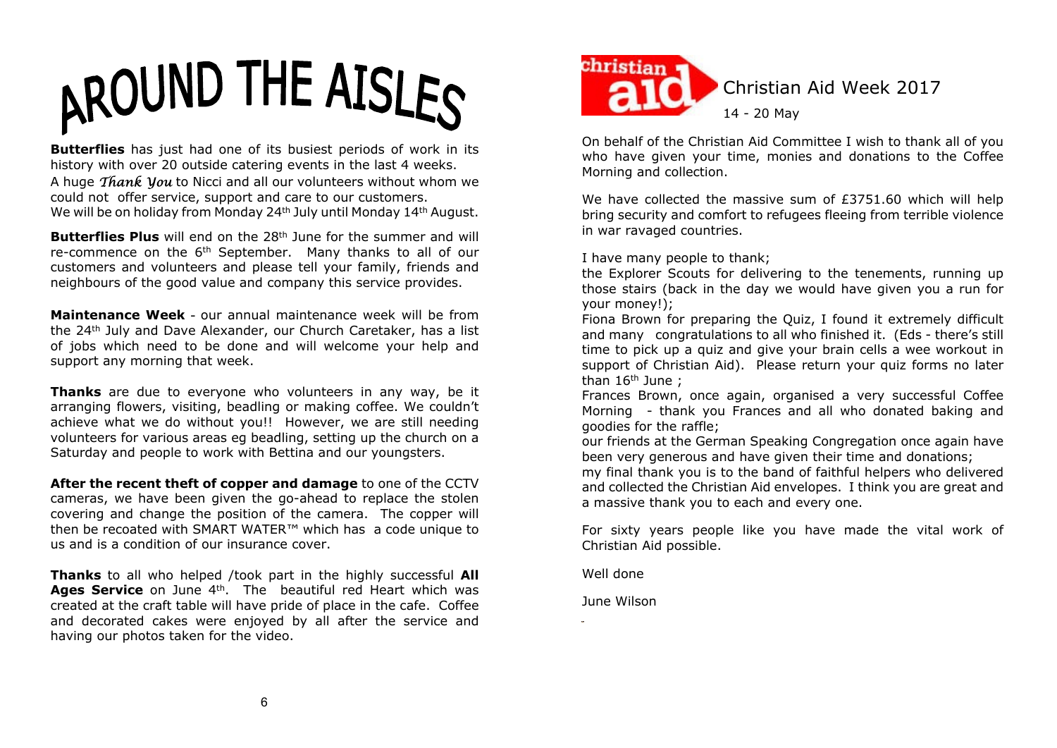

**Butterflies** has just had one of its busiest periods of work in its history with over 20 outside catering events in the last 4 weeks. A huge  $\hat{\text{Thank}}$  Vou to Nicci and all our volunteers without whom we could not offer service, support and care to our customers. We will be on holiday from Monday 24<sup>th</sup> July until Monday 14<sup>th</sup> August.

**Butterflies Plus** will end on the 28<sup>th</sup> June for the summer and will re-commence on the 6<sup>th</sup> September. Many thanks to all of our customers and volunteers and please tell your family, friends and neighbours of the good value and company this service provides.

**Maintenance Week** - our annual maintenance week will be from the 24th July and Dave Alexander, our Church Caretaker, has a list of jobs which need to be done and will welcome your help and support any morning that week.

**Thanks** are due to everyone who volunteers in any way, be it arranging flowers, visiting, beadling or making coffee. We couldn't achieve what we do without you!! However, we are still needing volunteers for various areas eg beadling, setting up the church on a Saturday and people to work with Bettina and our youngsters.

**After the recent theft of copper and damage** to one of the CCTV cameras, we have been given the go-ahead to replace the stolen covering and change the position of the camera. The copper will then be recoated with SMART WATER™ which has a code unique to us and is a condition of our insurance cover.

**Thanks** to all who helped /took part in the highly successful **All** Ages Service on June 4<sup>th</sup>. The beautiful red Heart which was created at the craft table will have pride of place in the cafe. Coffee and decorated cakes were enjoyed by all after the service and having our photos taken for the video.



On behalf of the Christian Aid Committee I wish to thank all of you who have given your time, monies and donations to the Coffee Morning and collection.

We have collected the massive sum of £3751.60 which will help bring security and comfort to refugees fleeing from terrible violence in war ravaged countries.

I have many people to thank;

the Explorer Scouts for delivering to the tenements, running up those stairs (back in the day we would have given you a run for your money!);

Fiona Brown for preparing the Quiz, I found it extremely difficult and many congratulations to all who finished it. (Eds - there's still time to pick up a quiz and give your brain cells a wee workout in support of Christian Aid). Please return your quiz forms no later than 16th June ;

Frances Brown, once again, organised a very successful Coffee Morning - thank you Frances and all who donated baking and goodies for the raffle;

our friends at the German Speaking Congregation once again have been very generous and have given their time and donations;

my final thank you is to the band of faithful helpers who delivered and collected the Christian Aid envelopes. I think you are great and a massive thank you to each and every one.

For sixty years people like you have made the vital work of Christian Aid possible.

Well done

June Wilson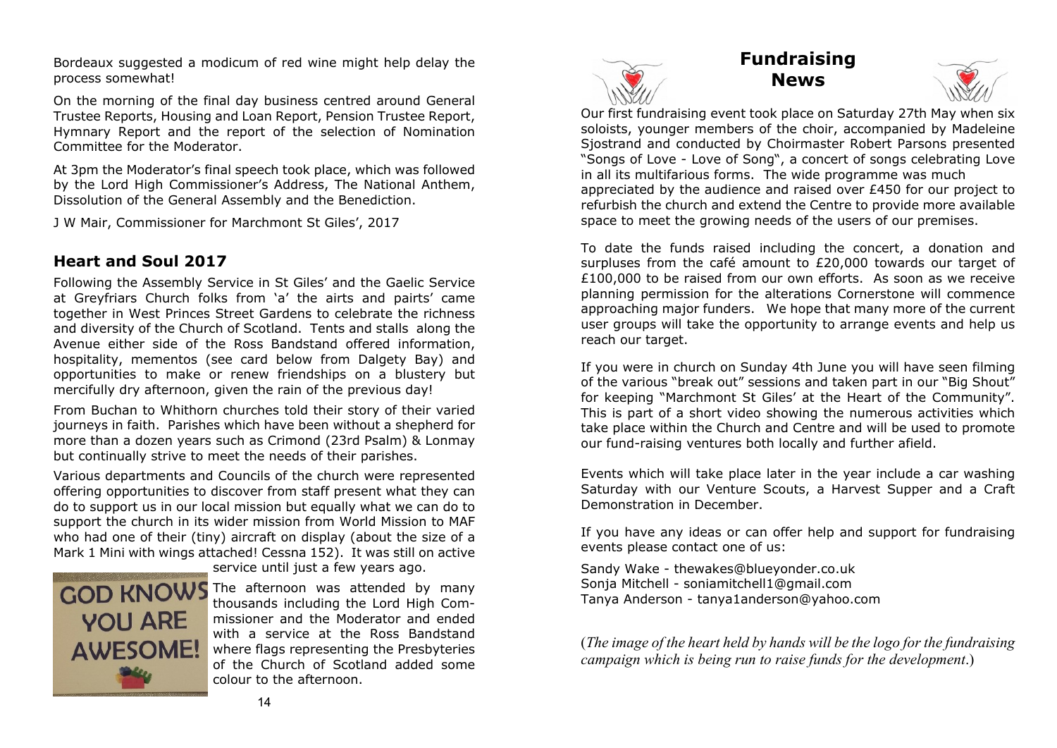Bordeaux suggested a modicum of red wine might help delay the process somewhat!

On the morning of the final day business centred around General Trustee Reports, Housing and Loan Report, Pension Trustee Report, Hymnary Report and the report of the selection of Nomination Committee for the Moderator.

At 3pm the Moderator's final speech took place, which was followed by the Lord High Commissioner's Address, The National Anthem, Dissolution of the General Assembly and the Benediction.

J W Mair, Commissioner for Marchmont St Giles', 2017

### **Heart and Soul 2017**

Following the Assembly Service in St Giles' and the Gaelic Service at Greyfriars Church folks from 'a' the airts and pairts' came together in West Princes Street Gardens to celebrate the richness and diversity of the Church of Scotland. Tents and stalls along the Avenue either side of the Ross Bandstand offered information, hospitality, mementos (see card below from Dalgety Bay) and opportunities to make or renew friendships on a blustery but mercifully dry afternoon, given the rain of the previous day!

From Buchan to Whithorn churches told their story of their varied journeys in faith. Parishes which have been without a shepherd for more than a dozen years such as Crimond (23rd Psalm) & Lonmay but continually strive to meet the needs of their parishes.

Various departments and Councils of the church were represented offering opportunities to discover from staff present what they can do to support us in our local mission but equally what we can do to support the church in its wider mission from World Mission to MAF who had one of their (tiny) aircraft on display (about the size of a Mark 1 Mini with wings attached! Cessna 152). It was still on active



service until just a few years ago.

**GOD KNOWS** The afternoon was attended by many thousands including the Lord High Commissioner and the Moderator and ended with a service at the Ross Bandstand where flags representing the Presbyteries of the Church of Scotland added some colour to the afternoon.



### **Fundraising News**



Our first fundraising event took place on Saturday 27th May when six soloists, younger members of the choir, accompanied by Madeleine Sjostrand and conducted by Choirmaster Robert Parsons presented "Songs of Love - Love of Song", a concert of songs celebrating Love in all its multifarious forms. The wide programme was much appreciated by the audience and raised over £450 for our project to refurbish the church and extend the Centre to provide more available space to meet the growing needs of the users of our premises.

To date the funds raised including the concert, a donation and surpluses from the café amount to £20,000 towards our target of £100,000 to be raised from our own efforts. As soon as we receive planning permission for the alterations Cornerstone will commence approaching major funders. We hope that many more of the current user groups will take the opportunity to arrange events and help us reach our target.

If you were in church on Sunday 4th June you will have seen filming of the various "break out" sessions and taken part in our "Big Shout" for keeping "Marchmont St Giles' at the Heart of the Community". This is part of a short video showing the numerous activities which take place within the Church and Centre and will be used to promote our fund-raising ventures both locally and further afield.

Events which will take place later in the year include a car washing Saturday with our Venture Scouts, a Harvest Supper and a Craft Demonstration in December.

If you have any ideas or can offer help and support for fundraising events please contact one of us:

Sandy Wake - thewakes@blueyonder.co.uk Sonja Mitchell - soniamitchell1@gmail.com Tanya Anderson - tanya1anderson@yahoo.com

(*The image of the heart held by hands will be the logo for the fundraising campaign which is being run to raise funds for the development*.)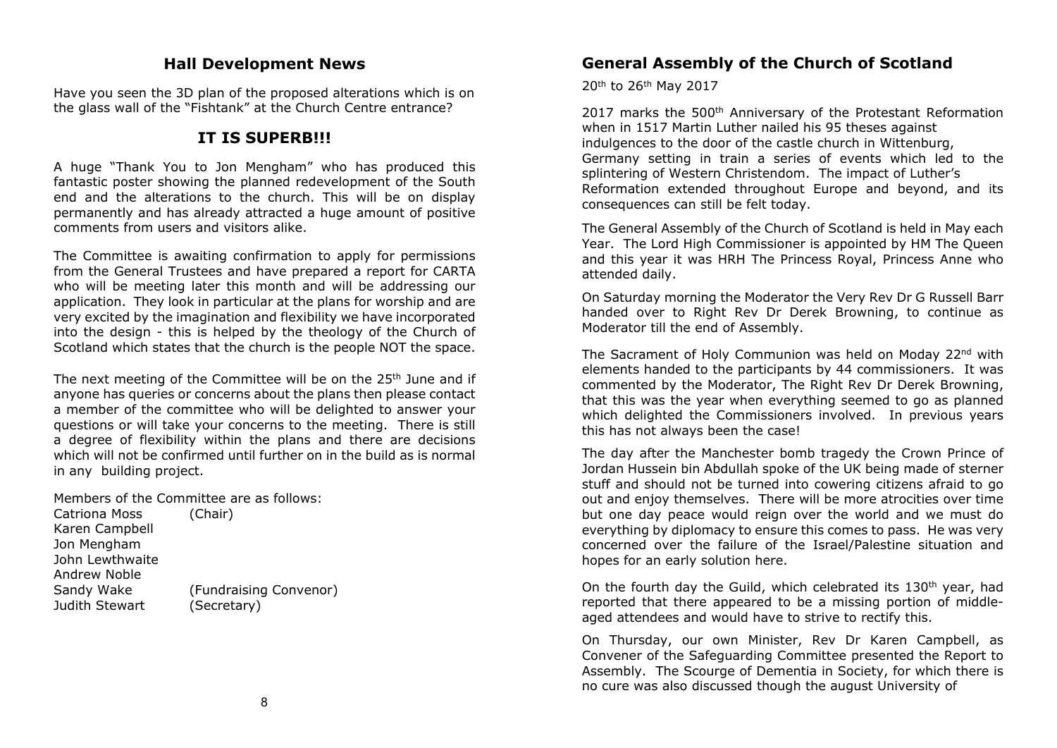### **Hall Development News**

Have you seen the 3D plan of the proposed alterations which is on the glass wall of the "Fishtank" at the Church Centre entrance?

### **IT IS SUPERB!!!**

A huge "Thank You to Jon Mengham" who has produced this fantastic poster showing the planned redevelopment of the South end and the alterations to the church. This will be on display permanently and has already attracted a huge amount of positive comments from users and visitors alike.

The Committee is awaiting confirmation to apply for permissions from the General Trustees and have prepared a report for CARTA who will be meeting later this month and will be addressing our application. They look in particular at the plans for worship and are very excited by the imagination and flexibility we have incorporated into the design - this is helped by the theology of the Church of Scotland which states that the church is the people NOT the space.

The next meeting of the Committee will be on the 25<sup>th</sup> June and if anyone has queries or concerns about the plans then please contact a member of the committee who will be delighted to answer your questions or will take your concerns to the meeting. There is still a degree of flexibility within the plans and there are decisions which will not be confirmed until further on in the build as is normal in any building project.

Members of the Committee are as follows: Catriona Moss (Chair) Karen Campbell Jon Mengham John Lewthwaite Andrew Noble Sandy Wake (Fundraising Convenor) Judith Stewart (Secretary)

### **General Assembly of the Church of Scotland**

20th to 26th May 2017

2017 marks the 500<sup>th</sup> Anniversary of the Protestant Reformation when in 1517 Martin Luther nailed his 95 theses against indulgences to the door of the castle church in Wittenburg, Germany setting in train a series of events which led to the splintering of Western Christendom. The impact of Luther's Reformation extended throughout Europe and beyond, and its consequences can still be felt today.

The General Assembly of the Church of Scotland is held in May each Year. The Lord High Commissioner is appointed by HM The Queen and this year it was HRH The Princess Royal, Princess Anne who attended daily.

On Saturday morning the Moderator the Very Rev Dr G Russell Barr handed over to Right Rev Dr Derek Browning, to continue as Moderator till the end of Assembly.

The Sacrament of Holy Communion was held on Moday 22<sup>nd</sup> with elements handed to the participants by 44 commissioners. It was commented by the Moderator, The Right Rev Dr Derek Browning, that this was the year when everything seemed to go as planned which delighted the Commissioners involved. In previous years this has not always been the case!

The day after the Manchester bomb tragedy the Crown Prince of Jordan Hussein bin Abdullah spoke of the UK being made of sterner stuff and should not be turned into cowering citizens afraid to go out and enjoy themselves. There will be more atrocities over time but one day peace would reign over the world and we must do everything by diplomacy to ensure this comes to pass. He was very concerned over the failure of the Israel/Palestine situation and hopes for an early solution here.

On the fourth day the Guild, which celebrated its 130th year, had reported that there appeared to be a missing portion of middleaged attendees and would have to strive to rectify this.

On Thursday, our own Minister, Rev Dr Karen Campbell, as Convener of the Safeguarding Committee presented the Report to Assembly. The Scourge of Dementia in Society, for which there is no cure was also discussed though the august University of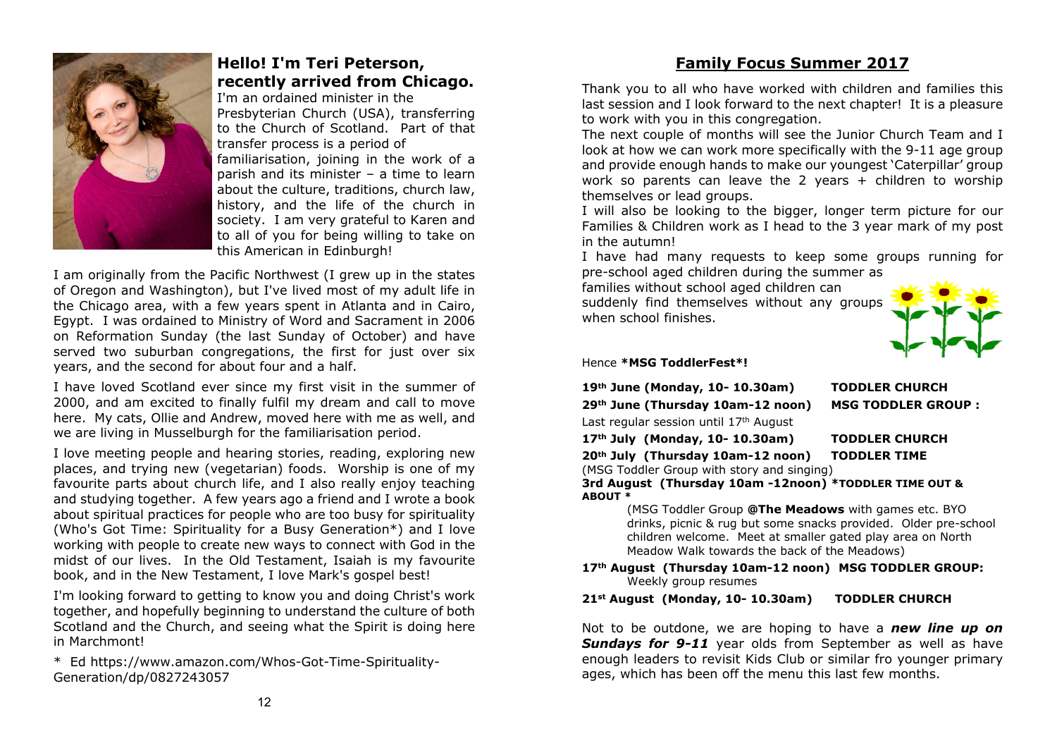

### **Hello! I'm Teri Peterson, recently arrived from Chicago.**

I'm an ordained minister in the Presbyterian Church (USA), transferring to the Church of Scotland. Part of that transfer process is a period of familiarisation, joining in the work of a parish and its minister – a time to learn about the culture, traditions, church law, history, and the life of the church in society. I am very grateful to Karen and to all of you for being willing to take on this American in Edinburgh!

I am originally from the Pacific Northwest (I grew up in the states of Oregon and Washington), but I've lived most of my adult life in the Chicago area, with a few years spent in Atlanta and in Cairo, Egypt. I was ordained to Ministry of Word and Sacrament in 2006 on Reformation Sunday (the last Sunday of October) and have served two suburban congregations, the first for just over six years, and the second for about four and a half.

I have loved Scotland ever since my first visit in the summer of 2000, and am excited to finally fulfil my dream and call to move here. My cats, Ollie and Andrew, moved here with me as well, and we are living in Musselburgh for the familiarisation period.

I love meeting people and hearing stories, reading, exploring new places, and trying new (vegetarian) foods. Worship is one of my favourite parts about church life, and I also really enjoy teaching and studying together. A few years ago a friend and I wrote a book about spiritual practices for people who are too busy for spirituality (Who's Got Time: Spirituality for a Busy Generation\*) and I love working with people to create new ways to connect with God in the midst of our lives. In the Old Testament, Isaiah is my favourite book, and in the New Testament, I love Mark's gospel best!

I'm looking forward to getting to know you and doing Christ's work together, and hopefully beginning to understand the culture of both Scotland and the Church, and seeing what the Spirit is doing here in Marchmont!

\* Ed https://www.amazon.com/Whos-Got-Time-Spirituality-Generation/dp/0827243057

### **Family Focus Summer 2017**

Thank you to all who have worked with children and families this last session and I look forward to the next chapter! It is a pleasure to work with you in this congregation.

The next couple of months will see the Junior Church Team and I look at how we can work more specifically with the 9-11 age group and provide enough hands to make our youngest 'Caterpillar' group work so parents can leave the 2 years + children to worship themselves or lead groups.

I will also be looking to the bigger, longer term picture for our Families & Children work as I head to the 3 year mark of my post in the autumn!

I have had many requests to keep some groups running for pre-school aged children during the summer as

families without school aged children can suddenly find themselves without any groups when school finishes.



**19th June (Monday, 10- 10.30am) TODDLER CHURCH**

#### Hence **\*MSG ToddlerFest\*!**

|  |  |  | 19 <sup>th</sup> June (Monday, 10- 10.30am) |  |
|--|--|--|---------------------------------------------|--|
|--|--|--|---------------------------------------------|--|

**29th June (Thursday 10am-12 noon) MSG TODDLER GROUP :**

Last regular session until 17th August

```
17th July (Monday, 10- 10.30am) TODDLER CHURCH
```
**20th July (Thursday 10am-12 noon) TODDLER TIME**

(MSG Toddler Group with story and singing)

**3rd August (Thursday 10am -12noon) \*TODDLER TIME OUT & ABOUT \***

(MSG Toddler Group **@The Meadows** with games etc. BYO drinks, picnic & rug but some snacks provided. Older pre-school children welcome. Meet at smaller gated play area on North Meadow Walk towards the back of the Meadows)

**17th August (Thursday 10am-12 noon) MSG TODDLER GROUP:** Weekly group resumes

**21st August (Monday, 10- 10.30am) TODDLER CHURCH**

Not to be outdone, we are hoping to have a *new line up on* **Sundays for 9-11** year olds from September as well as have enough leaders to revisit Kids Club or similar fro younger primary ages, which has been off the menu this last few months.